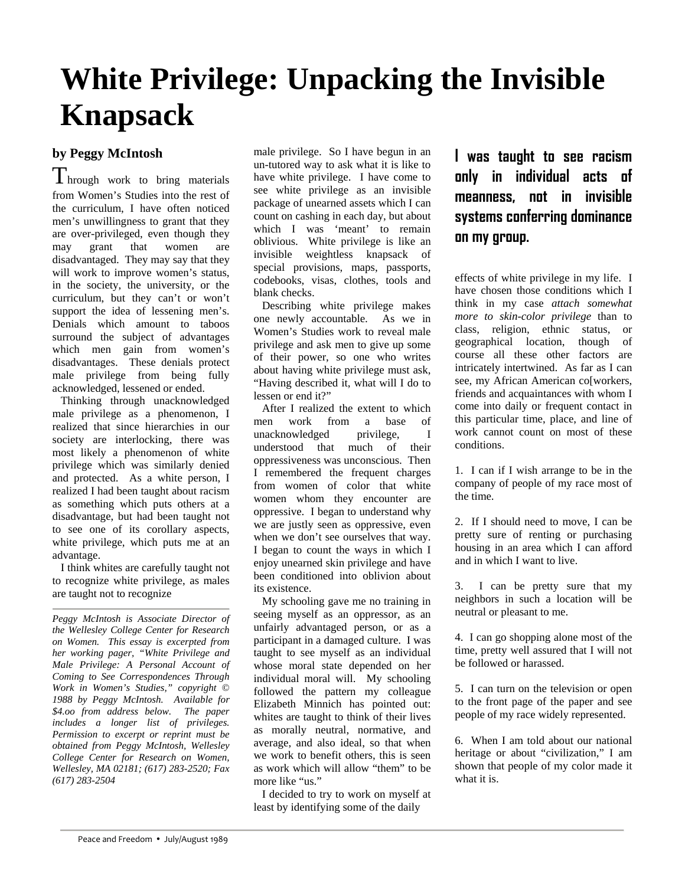## **White Privilege: Unpacking the Invisible Knapsack**

## **by Peggy McIntosh**

I hrough work to bring materials from Women's Studies into the rest of the curriculum, I have often noticed men's unwillingness to grant that they are over-privileged, even though they may grant that women are disadvantaged. They may say that they will work to improve women's status, in the society, the university, or the curriculum, but they can't or won't support the idea of lessening men's. Denials which amount to taboos surround the subject of advantages which men gain from women's disadvantages. These denials protect male privilege from being fully acknowledged, lessened or ended.

 Thinking through unacknowledged male privilege as a phenomenon, I realized that since hierarchies in our society are interlocking, there was most likely a phenomenon of white privilege which was similarly denied and protected. As a white person, I realized I had been taught about racism as something which puts others at a disadvantage, but had been taught not to see one of its corollary aspects, white privilege, which puts me at an advantage.

I think whites are carefully taught not to recognize white privilege, as males are taught not to recognize

*Peggy McIntosh is Associate Director of the Wellesley College Center for Research on Women. This essay is excerpted from her working pager, "White Privilege and Male Privilege: A Personal Account of Coming to See Correspondences Through Work in Women's Studies," copyright © 1988 by Peggy McIntosh. Available for \$4.oo from address below. The paper includes a longer list of privileges. Permission to excerpt or reprint must be obtained from Peggy McIntosh, Wellesley College Center for Research on Women, Wellesley, MA 02181; (617) 283-2520; Fax (617) 283-2504* 

male privilege. So I have begun in an un-tutored way to ask what it is like to have white privilege. I have come to see white privilege as an invisible package of unearned assets which I can count on cashing in each day, but about which I was 'meant' to remain oblivious. White privilege is like an invisible weightless knapsack of special provisions, maps, passports, codebooks, visas, clothes, tools and blank checks.

 Describing white privilege makes one newly accountable. As we in Women's Studies work to reveal male privilege and ask men to give up some of their power, so one who writes about having white privilege must ask, "Having described it, what will I do to lessen or end it?"

After I realized the extent to which men work from a base of unacknowledged privilege, I understood that much of their oppressiveness was unconscious. Then I remembered the frequent charges from women of color that white women whom they encounter are oppressive. I began to understand why we are justly seen as oppressive, even when we don't see ourselves that way. I began to count the ways in which I enjoy unearned skin privilege and have been conditioned into oblivion about its existence.

My schooling gave me no training in seeing myself as an oppressor, as an unfairly advantaged person, or as a participant in a damaged culture. I was taught to see myself as an individual whose moral state depended on her individual moral will. My schooling followed the pattern my colleague Elizabeth Minnich has pointed out: whites are taught to think of their lives as morally neutral, normative, and average, and also ideal, so that when we work to benefit others, this is seen as work which will allow "them" to be more like "us."

I decided to try to work on myself at least by identifying some of the daily

**I was taught to see racism only in individual acts of meanness, not in invisible systems conferring dominance on my group.**

effects of white privilege in my life. I have chosen those conditions which I think in my case *attach somewhat more to skin-color privilege* than to class, religion, ethnic status, or geographical location, though of course all these other factors are intricately intertwined. As far as I can see, my African American co[workers, friends and acquaintances with whom I come into daily or frequent contact in this particular time, place, and line of work cannot count on most of these conditions.

1. I can if I wish arrange to be in the company of people of my race most of the time.

2. If I should need to move, I can be pretty sure of renting or purchasing housing in an area which I can afford and in which I want to live.

3. I can be pretty sure that my neighbors in such a location will be neutral or pleasant to me.

4. I can go shopping alone most of the time, pretty well assured that I will not be followed or harassed.

5. I can turn on the television or open to the front page of the paper and see people of my race widely represented.

6. When I am told about our national heritage or about "civilization," I am shown that people of my color made it what it is.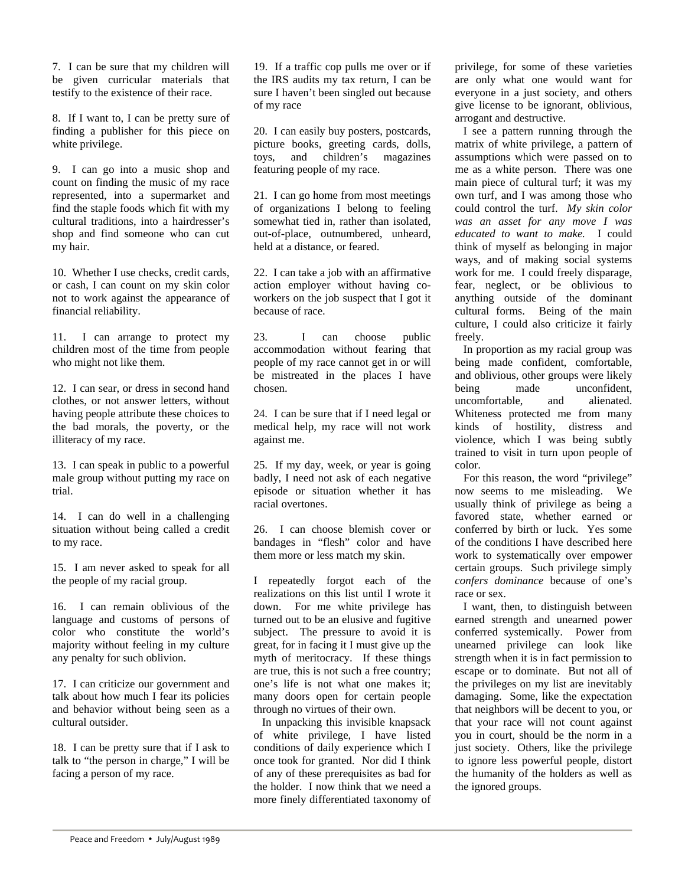7. I can be sure that my children will be given curricular materials that testify to the existence of their race.

8. If I want to, I can be pretty sure of finding a publisher for this piece on white privilege.

9. I can go into a music shop and count on finding the music of my race represented, into a supermarket and find the staple foods which fit with my cultural traditions, into a hairdresser's shop and find someone who can cut my hair.

10. Whether I use checks, credit cards, or cash, I can count on my skin color not to work against the appearance of financial reliability.

11. I can arrange to protect my children most of the time from people who might not like them.

12. I can sear, or dress in second hand clothes, or not answer letters, without having people attribute these choices to the bad morals, the poverty, or the illiteracy of my race.

13. I can speak in public to a powerful male group without putting my race on trial.

14. I can do well in a challenging situation without being called a credit to my race.

15. I am never asked to speak for all the people of my racial group.

16. I can remain oblivious of the language and customs of persons of color who constitute the world's majority without feeling in my culture any penalty for such oblivion.

17. I can criticize our government and talk about how much I fear its policies and behavior without being seen as a cultural outsider.

18. I can be pretty sure that if I ask to talk to "the person in charge," I will be facing a person of my race.

19. If a traffic cop pulls me over or if the IRS audits my tax return, I can be sure I haven't been singled out because of my race

20. I can easily buy posters, postcards, picture books, greeting cards, dolls, toys, and children's magazines featuring people of my race.

21. I can go home from most meetings of organizations I belong to feeling somewhat tied in, rather than isolated, out-of-place, outnumbered, unheard, held at a distance, or feared.

22. I can take a job with an affirmative action employer without having coworkers on the job suspect that I got it because of race.

23. I can choose public accommodation without fearing that people of my race cannot get in or will be mistreated in the places I have chosen.

24. I can be sure that if I need legal or medical help, my race will not work against me.

25. If my day, week, or year is going badly, I need not ask of each negative episode or situation whether it has racial overtones.

26. I can choose blemish cover or bandages in "flesh" color and have them more or less match my skin.

I repeatedly forgot each of the realizations on this list until I wrote it down. For me white privilege has turned out to be an elusive and fugitive subject. The pressure to avoid it is great, for in facing it I must give up the myth of meritocracy. If these things are true, this is not such a free country; one's life is not what one makes it; many doors open for certain people through no virtues of their own.

 In unpacking this invisible knapsack of white privilege, I have listed conditions of daily experience which I once took for granted. Nor did I think of any of these prerequisites as bad for the holder. I now think that we need a more finely differentiated taxonomy of

privilege, for some of these varieties are only what one would want for everyone in a just society, and others give license to be ignorant, oblivious, arrogant and destructive.

I see a pattern running through the matrix of white privilege, a pattern of assumptions which were passed on to me as a white person. There was one main piece of cultural turf; it was my own turf, and I was among those who could control the turf. *My skin color was an asset for any move I was educated to want to make.* I could think of myself as belonging in major ways, and of making social systems work for me. I could freely disparage, fear, neglect, or be oblivious to anything outside of the dominant cultural forms. Being of the main culture, I could also criticize it fairly freely.

In proportion as my racial group was being made confident, comfortable, and oblivious, other groups were likely being made unconfident, uncomfortable, and alienated. Whiteness protected me from many kinds of hostility, distress and violence, which I was being subtly trained to visit in turn upon people of color.

For this reason, the word "privilege" now seems to me misleading. We usually think of privilege as being a favored state, whether earned or conferred by birth or luck. Yes some of the conditions I have described here work to systematically over empower certain groups. Such privilege simply *confers dominance* because of one's race or sex.

I want, then, to distinguish between earned strength and unearned power conferred systemically. Power from unearned privilege can look like strength when it is in fact permission to escape or to dominate. But not all of the privileges on my list are inevitably damaging. Some, like the expectation that neighbors will be decent to you, or that your race will not count against you in court, should be the norm in a just society. Others, like the privilege to ignore less powerful people, distort the humanity of the holders as well as the ignored groups.